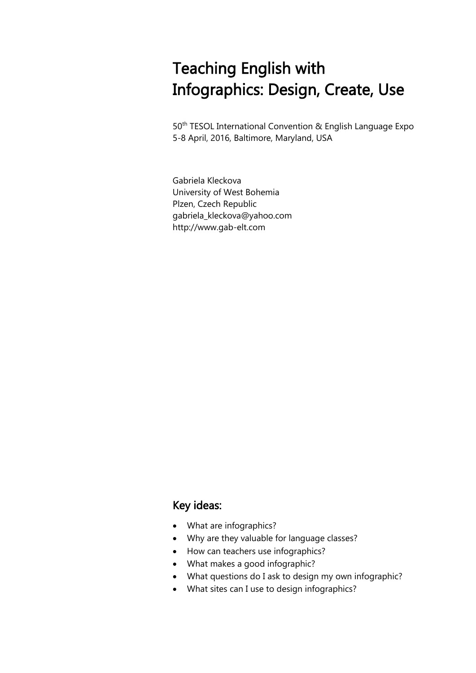# Teaching English with Infographics: Design, Create, Use

50<sup>th</sup> TESOL International Convention & English Language Expo 5-8 April, 2016, Baltimore, Maryland, USA

Gabriela Kleckova University of West Bohemia Plzen, Czech Republic gabriela\_kleckova@yahoo.com http://www.gab-elt.com

### Key ideas:

- What are infographics?
- Why are they valuable for language classes?
- How can teachers use infographics?
- What makes a good infographic?
- What questions do I ask to design my own infographic?
- What sites can I use to design infographics?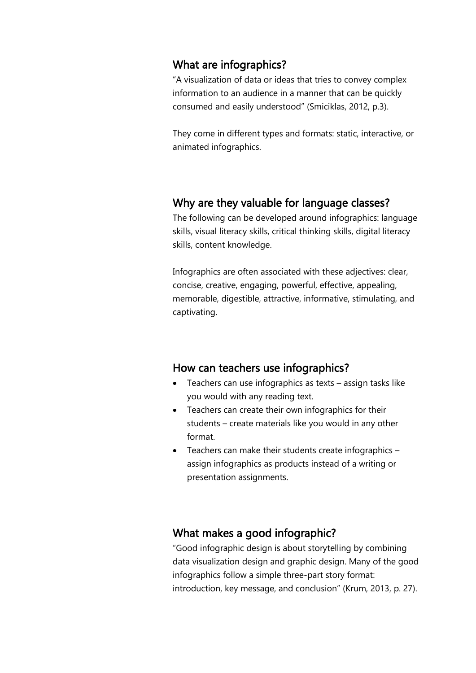#### What are infographics?

"A visualization of data or ideas that tries to convey complex information to an audience in a manner that can be quickly consumed and easily understood" (Smiciklas, 2012, p.3).

They come in different types and formats: static, interactive, or animated infographics.

#### Why are they valuable for language classes?

The following can be developed around infographics: language skills, visual literacy skills, critical thinking skills, digital literacy skills, content knowledge.

Infographics are often associated with these adjectives: clear, concise, creative, engaging, powerful, effective, appealing, memorable, digestible, attractive, informative, stimulating, and captivating.

#### How can teachers use infographics?

- Teachers can use infographics as texts assign tasks like you would with any reading text.
- Teachers can create their own infographics for their students – create materials like you would in any other format.
- Teachers can make their students create infographics assign infographics as products instead of a writing or presentation assignments.

#### What makes a good infographic?

"Good infographic design is about storytelling by combining data visualization design and graphic design. Many of the good infographics follow a simple three-part story format: introduction, key message, and conclusion" (Krum, 2013, p. 27).